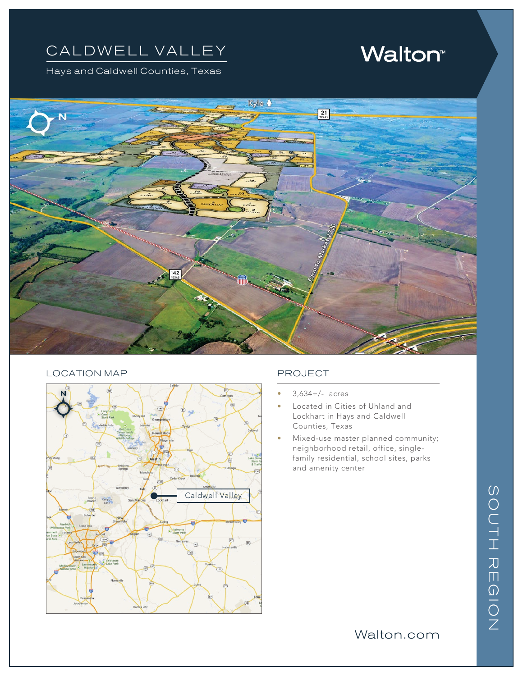## CALDWELL VALLEY

Hays and Caldwell Counties, Texas

# **Walton**<sup>®</sup>



#### LOCATION MAP PROJECT



- $3,634+/-$  acres
- Located in Cities of Uhland and Lockhart in Hays and Caldwell Counties, Texas
- Mixed-use master planned community; neighborhood retail, office, singlefamily residential, school sites, parks and amenity center

### Walton.com